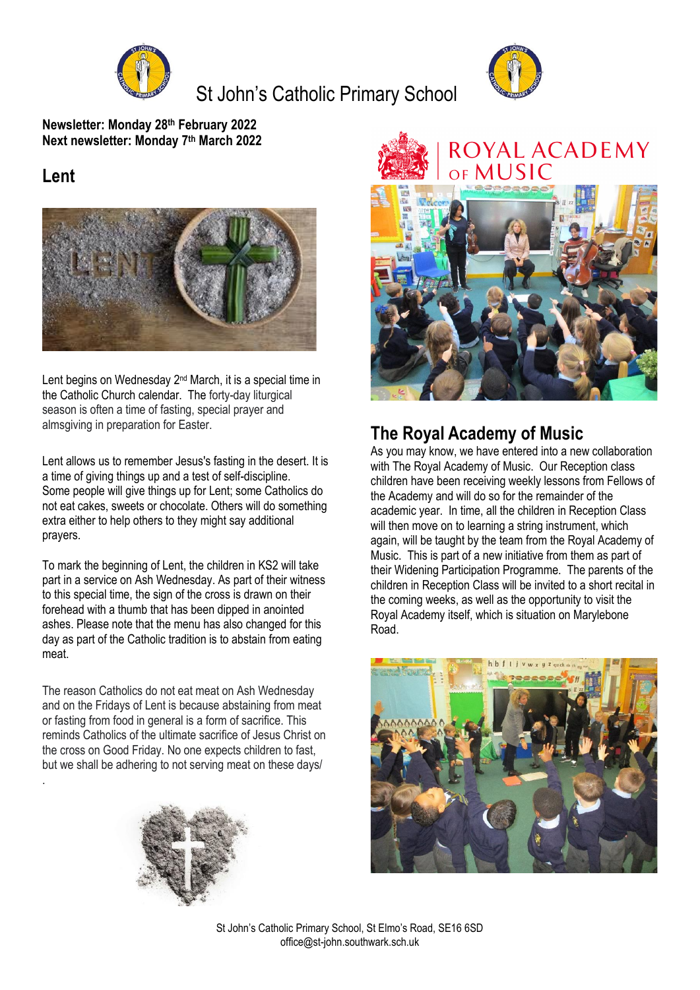

St John's Catholic Primary School



**Newsletter: Monday 28 th February 2022 Next newsletter: Monday 7 th March 2022**

### **Lent**

.



Lent begins on Wednesday 2<sup>nd</sup> March, it is a special time in the Catholic Church calendar. The forty-day liturgical season is often a time of fasting, special prayer and almsgiving in preparation for Easter.

Lent allows us to remember Jesus's fasting in the desert. It is a time of giving things up and a test of self-discipline. Some people will give things up for Lent; some Catholics do not eat cakes, sweets or chocolate. Others will do something extra either to help others to they might say additional prayers.

To mark the beginning of Lent, the children in KS2 will take part in a service on Ash Wednesday. As part of their witness to this special time, the sign of the cross is drawn on their forehead with a thumb that has been dipped in anointed ashes. Please note that the menu has also changed for this day as part of the Catholic tradition is to abstain from eating meat.

The reason Catholics do not eat meat on Ash Wednesday and on the Fridays of Lent is because abstaining from meat or fasting from food in general is a form of sacrifice. This reminds Catholics of the ultimate sacrifice of Jesus Christ on the cross on Good Friday. No one expects children to fast, but we shall be adhering to not serving meat on these days/







## **The Royal Academy of Music**

As you may know, we have entered into a new collaboration with The Royal Academy of Music. Our Reception class children have been receiving weekly lessons from Fellows of the Academy and will do so for the remainder of the academic year. In time, all the children in Reception Class will then move on to learning a string instrument, which again, will be taught by the team from the Royal Academy of Music. This is part of a new initiative from them as part of their Widening Participation Programme. The parents of the children in Reception Class will be invited to a short recital in the coming weeks, as well as the opportunity to visit the Royal Academy itself, which is situation on Marylebone Road.